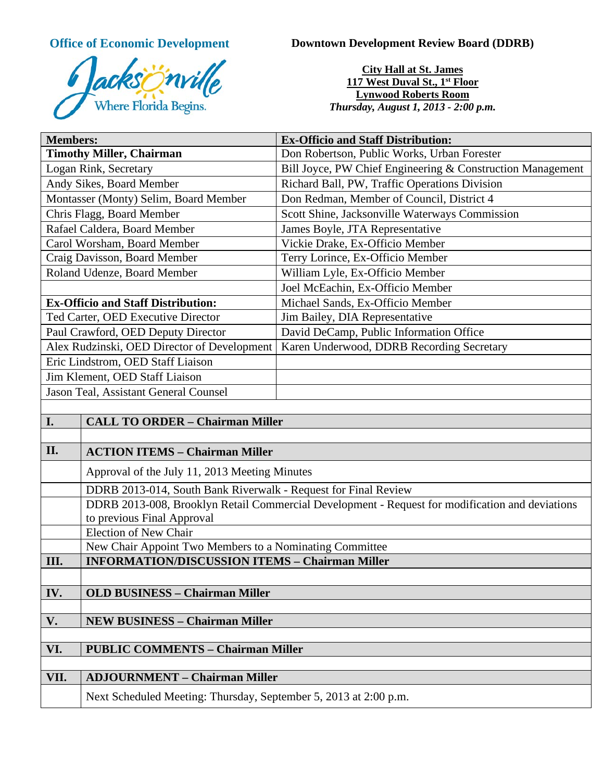

**Office of Economic Development Downtown Development Review Board (DDRB)** 

**City Hall at St. James 117 West Duval St., 1st Floor Lynwood Roberts Room** *Thursday, August 1, 2013 - 2:00 p.m.*

| <b>Members:</b>                             | <b>Ex-Officio and Staff Distribution:</b>                  |
|---------------------------------------------|------------------------------------------------------------|
| <b>Timothy Miller, Chairman</b>             | Don Robertson, Public Works, Urban Forester                |
| Logan Rink, Secretary                       | Bill Joyce, PW Chief Engineering & Construction Management |
| Andy Sikes, Board Member                    | Richard Ball, PW, Traffic Operations Division              |
| Montasser (Monty) Selim, Board Member       | Don Redman, Member of Council, District 4                  |
| Chris Flagg, Board Member                   | Scott Shine, Jacksonville Waterways Commission             |
| Rafael Caldera, Board Member                | James Boyle, JTA Representative                            |
| Carol Worsham, Board Member                 | Vickie Drake, Ex-Officio Member                            |
| Craig Davisson, Board Member                | Terry Lorince, Ex-Officio Member                           |
| Roland Udenze, Board Member                 | William Lyle, Ex-Officio Member                            |
|                                             | Joel McEachin, Ex-Officio Member                           |
| <b>Ex-Officio and Staff Distribution:</b>   | Michael Sands, Ex-Officio Member                           |
| Ted Carter, OED Executive Director          | Jim Bailey, DIA Representative                             |
| Paul Crawford, OED Deputy Director          | David DeCamp, Public Information Office                    |
| Alex Rudzinski, OED Director of Development | Karen Underwood, DDRB Recording Secretary                  |
| Eric Lindstrom, OED Staff Liaison           |                                                            |
| Jim Klement, OED Staff Liaison              |                                                            |
| Jason Teal, Assistant General Counsel       |                                                            |
|                                             |                                                            |

| I.   | <b>CALL TO ORDER - Chairman Miller</b>                                                                                        |
|------|-------------------------------------------------------------------------------------------------------------------------------|
|      |                                                                                                                               |
| II.  | <b>ACTION ITEMS - Chairman Miller</b>                                                                                         |
|      | Approval of the July 11, 2013 Meeting Minutes                                                                                 |
|      | DDRB 2013-014, South Bank Riverwalk - Request for Final Review                                                                |
|      | DDRB 2013-008, Brooklyn Retail Commercial Development - Request for modification and deviations<br>to previous Final Approval |
|      | <b>Election of New Chair</b>                                                                                                  |
|      | New Chair Appoint Two Members to a Nominating Committee                                                                       |
| III. | <b>INFORMATION/DISCUSSION ITEMS - Chairman Miller</b>                                                                         |
|      |                                                                                                                               |
| IV.  | <b>OLD BUSINESS - Chairman Miller</b>                                                                                         |
|      |                                                                                                                               |
| V.   | <b>NEW BUSINESS - Chairman Miller</b>                                                                                         |
|      |                                                                                                                               |
| VI.  | <b>PUBLIC COMMENTS - Chairman Miller</b>                                                                                      |
|      |                                                                                                                               |
| VII. | <b>ADJOURNMENT - Chairman Miller</b>                                                                                          |
|      | Next Scheduled Meeting: Thursday, September 5, 2013 at 2:00 p.m.                                                              |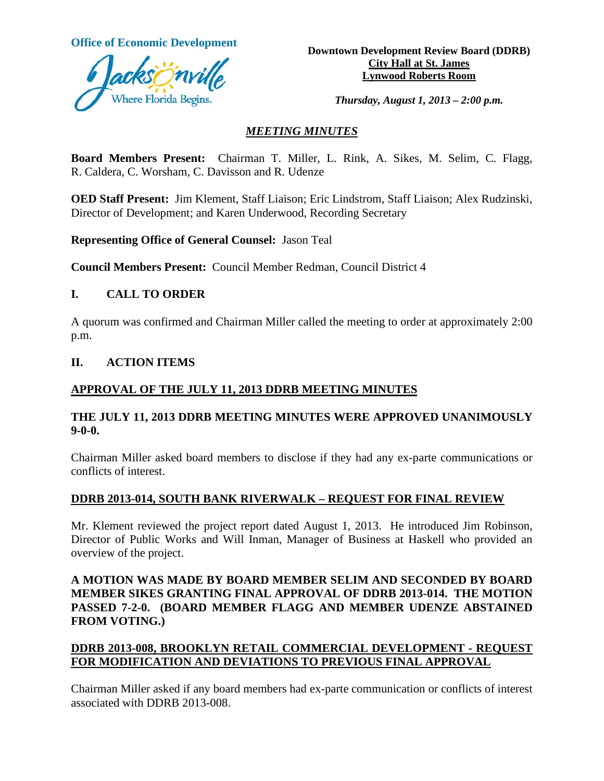

**Office of Economic Development**<br> **Downtown Development Review Board (DDRB) City Hall at St. James Lynwood Roberts Room**

*Thursday, August 1, 2013 – 2:00 p.m.*

#### *MEETING MINUTES*

**Board Members Present:** Chairman T. Miller, L. Rink, A. Sikes, M. Selim, C. Flagg, R. Caldera, C. Worsham, C. Davisson and R. Udenze

**OED Staff Present:** Jim Klement, Staff Liaison; Eric Lindstrom, Staff Liaison; Alex Rudzinski, Director of Development; and Karen Underwood, Recording Secretary

**Representing Office of General Counsel:** Jason Teal

**Council Members Present:** Council Member Redman, Council District 4

#### **I. CALL TO ORDER**

A quorum was confirmed and Chairman Miller called the meeting to order at approximately 2:00 p.m.

#### **II. ACTION ITEMS**

#### **APPROVAL OF THE JULY 11, 2013 DDRB MEETING MINUTES**

#### **THE JULY 11, 2013 DDRB MEETING MINUTES WERE APPROVED UNANIMOUSLY 9-0-0.**

Chairman Miller asked board members to disclose if they had any ex-parte communications or conflicts of interest.

#### **DDRB 2013-014, SOUTH BANK RIVERWALK – REQUEST FOR FINAL REVIEW**

Mr. Klement reviewed the project report dated August 1, 2013. He introduced Jim Robinson, Director of Public Works and Will Inman, Manager of Business at Haskell who provided an overview of the project.

## **A MOTION WAS MADE BY BOARD MEMBER SELIM AND SECONDED BY BOARD MEMBER SIKES GRANTING FINAL APPROVAL OF DDRB 2013-014. THE MOTION PASSED 7-2-0. (BOARD MEMBER FLAGG AND MEMBER UDENZE ABSTAINED FROM VOTING.)**

## **DDRB 2013-008, BROOKLYN RETAIL COMMERCIAL DEVELOPMENT - REQUEST FOR MODIFICATION AND DEVIATIONS TO PREVIOUS FINAL APPROVAL**

Chairman Miller asked if any board members had ex-parte communication or conflicts of interest associated with DDRB 2013-008.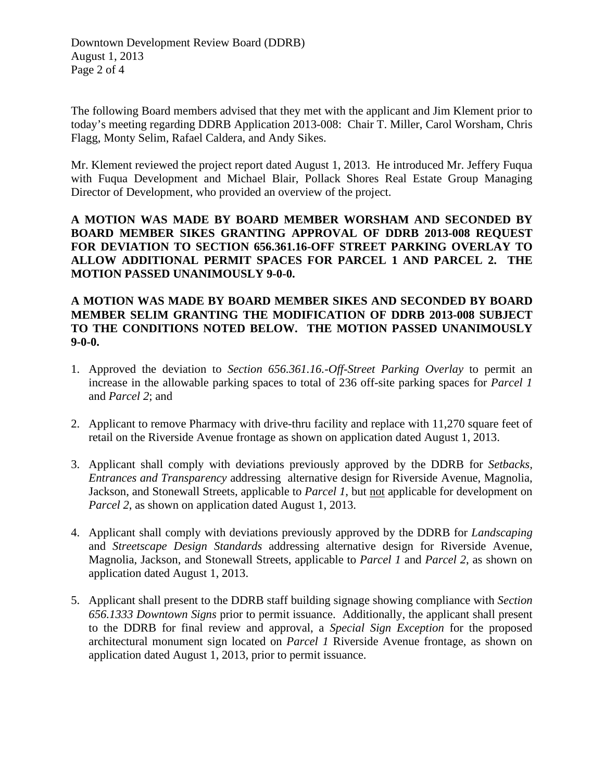The following Board members advised that they met with the applicant and Jim Klement prior to today's meeting regarding DDRB Application 2013-008: Chair T. Miller, Carol Worsham, Chris Flagg, Monty Selim, Rafael Caldera, and Andy Sikes.

Mr. Klement reviewed the project report dated August 1, 2013. He introduced Mr. Jeffery Fuqua with Fuqua Development and Michael Blair, Pollack Shores Real Estate Group Managing Director of Development, who provided an overview of the project.

**A MOTION WAS MADE BY BOARD MEMBER WORSHAM AND SECONDED BY BOARD MEMBER SIKES GRANTING APPROVAL OF DDRB 2013-008 REQUEST FOR DEVIATION TO SECTION 656.361.16-OFF STREET PARKING OVERLAY TO ALLOW ADDITIONAL PERMIT SPACES FOR PARCEL 1 AND PARCEL 2. THE MOTION PASSED UNANIMOUSLY 9-0-0.** 

## **A MOTION WAS MADE BY BOARD MEMBER SIKES AND SECONDED BY BOARD MEMBER SELIM GRANTING THE MODIFICATION OF DDRB 2013-008 SUBJECT TO THE CONDITIONS NOTED BELOW. THE MOTION PASSED UNANIMOUSLY 9-0-0.**

- 1. Approved the deviation to *Section 656.361.16.-Off-Street Parking Overlay* to permit an increase in the allowable parking spaces to total of 236 off-site parking spaces for *Parcel 1* and *Parcel 2*; and
- 2. Applicant to remove Pharmacy with drive-thru facility and replace with 11,270 square feet of retail on the Riverside Avenue frontage as shown on application dated August 1, 2013.
- 3. Applicant shall comply with deviations previously approved by the DDRB for *Setbacks, Entrances and Transparency* addressing alternative design for Riverside Avenue, Magnolia, Jackson, and Stonewall Streets, applicable to *Parcel 1*, but not applicable for development on *Parcel 2*, as shown on application dated August 1, 2013.
- 4. Applicant shall comply with deviations previously approved by the DDRB for *Landscaping*  and *Streetscape Design Standards* addressing alternative design for Riverside Avenue, Magnolia, Jackson, and Stonewall Streets, applicable to *Parcel 1* and *Parcel 2*, as shown on application dated August 1, 2013.
- 5. Applicant shall present to the DDRB staff building signage showing compliance with *Section 656.1333 Downtown Signs* prior to permit issuance. Additionally, the applicant shall present to the DDRB for final review and approval, a *Special Sign Exception* for the proposed architectural monument sign located on *Parcel 1* Riverside Avenue frontage, as shown on application dated August 1, 2013, prior to permit issuance.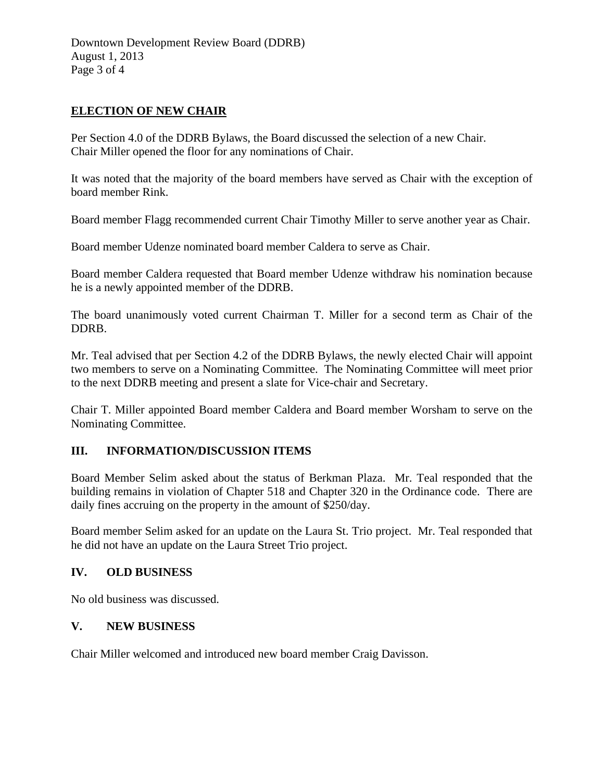## **ELECTION OF NEW CHAIR**

Per Section 4.0 of the DDRB Bylaws, the Board discussed the selection of a new Chair. Chair Miller opened the floor for any nominations of Chair.

It was noted that the majority of the board members have served as Chair with the exception of board member Rink.

Board member Flagg recommended current Chair Timothy Miller to serve another year as Chair.

Board member Udenze nominated board member Caldera to serve as Chair.

Board member Caldera requested that Board member Udenze withdraw his nomination because he is a newly appointed member of the DDRB.

The board unanimously voted current Chairman T. Miller for a second term as Chair of the DDRB.

Mr. Teal advised that per Section 4.2 of the DDRB Bylaws, the newly elected Chair will appoint two members to serve on a Nominating Committee. The Nominating Committee will meet prior to the next DDRB meeting and present a slate for Vice-chair and Secretary.

Chair T. Miller appointed Board member Caldera and Board member Worsham to serve on the Nominating Committee.

## **III. INFORMATION/DISCUSSION ITEMS**

Board Member Selim asked about the status of Berkman Plaza. Mr. Teal responded that the building remains in violation of Chapter 518 and Chapter 320 in the Ordinance code. There are daily fines accruing on the property in the amount of \$250/day.

Board member Selim asked for an update on the Laura St. Trio project. Mr. Teal responded that he did not have an update on the Laura Street Trio project.

## **IV. OLD BUSINESS**

No old business was discussed.

## **V. NEW BUSINESS**

Chair Miller welcomed and introduced new board member Craig Davisson.